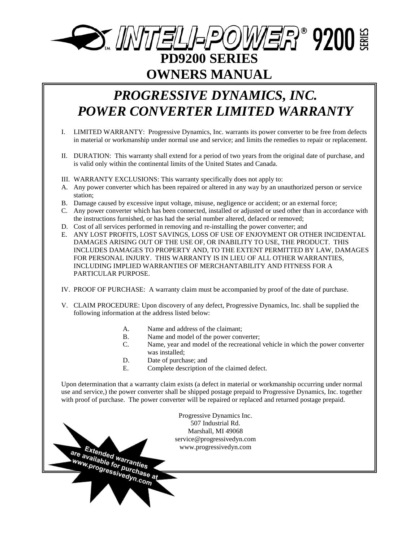# **OMIELI-POWER® 9200 NE PD9200 SERIES OWNERS MANUAL**

# *PROGRESSIVE DYNAMICS, INC. POWER CONVERTER LIMITED WARRANTY*

- I. LIMITED WARRANTY: Progressive Dynamics, Inc. warrants its power converter to be free from defects in material or workmanship under normal use and service; and limits the remedies to repair or replacement.
- II. DURATION: This warranty shall extend for a period of two years from the original date of purchase, and is valid only within the continental limits of the United States and Canada.
- III. WARRANTY EXCLUSIONS: This warranty specifically does not apply to:
- A. Any power converter which has been repaired or altered in any way by an unauthorized person or service station;
- B. Damage caused by excessive input voltage, misuse, negligence or accident; or an external force;
- C. Any power converter which has been connected, installed or adjusted or used other than in accordance with the instructions furnished, or has had the serial number altered, defaced or removed;
- D. Cost of all services performed in removing and re-installing the power converter; and
- E. ANY LOST PROFITS, LOST SAVINGS, LOSS OF USE OF ENJOYMENT OR OTHER INCIDENTAL DAMAGES ARISING OUT OF THE USE OF, OR INABILITY TO USE, THE PRODUCT. THIS INCLUDES DAMAGES TO PROPERTY AND, TO THE EXTENT PERMITTED BY LAW, DAMAGES FOR PERSONAL INJURY. THIS WARRANTY IS IN LIEU OF ALL OTHER WARRANTIES, INCLUDING IMPLIED WARRANTIES OF MERCHANTABILITY AND FITNESS FOR A PARTICULAR PURPOSE.
- IV. PROOF OF PURCHASE: A warranty claim must be accompanied by proof of the date of purchase.
- V. CLAIM PROCEDURE: Upon discovery of any defect, Progressive Dynamics, Inc. shall be supplied the following information at the address listed below:
	- A. Name and address of the claimant;
	- B. Name and model of the power converter;
	- C. Name, year and model of the recreational vehicle in which the power converter was installed;
	- D. Date of purchase; and

are Extended warranties

E. Complete description of the claimed defect.

Upon determination that a warranty claim exists (a defect in material or workmanship occurring under normal use and service,) the power converter shall be shipped postage prepaid to Progressive Dynamics, Inc. together with proof of purchase. The power converter will be repaired or replaced and returned postage prepaid.

> Progressive Dynamics Inc. 507 Industrial Rd. Marshall, MI 49068 service@progressivedyn.com www.progressivedyn.com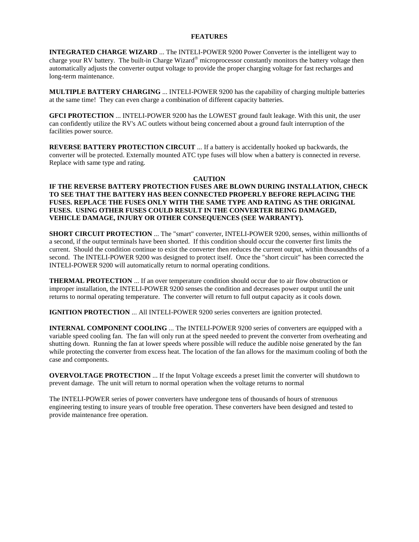#### **FEATURES**

**INTEGRATED CHARGE WIZARD** ... The INTELI-POWER 9200 Power Converter is the intelligent way to charge your RV battery. The built-in Charge Wizard<sup>®</sup> microprocessor constantly monitors the battery voltage then automatically adjusts the converter output voltage to provide the proper charging voltage for fast recharges and long-term maintenance.

**MULTIPLE BATTERY CHARGING** ... INTELI-POWER 9200 has the capability of charging multiple batteries at the same time! They can even charge a combination of different capacity batteries.

**GFCI PROTECTION** ... INTELI-POWER 9200 has the LOWEST ground fault leakage. With this unit, the user can confidently utilize the RV's AC outlets without being concerned about a ground fault interruption of the facilities power source.

**REVERSE BATTERY PROTECTION CIRCUIT** ... If a battery is accidentally hooked up backwards, the converter will be protected. Externally mounted ATC type fuses will blow when a battery is connected in reverse. Replace with same type and rating.

#### **CAUTION**

#### **IF THE REVERSE BATTERY PROTECTION FUSES ARE BLOWN DURING INSTALLATION, CHECK TO SEE THAT THE BATTERY HAS BEEN CONNECTED PROPERLY BEFORE REPLACING THE FUSES. REPLACE THE FUSES ONLY WITH THE SAME TYPE AND RATING AS THE ORIGINAL FUSES. USING OTHER FUSES COULD RESULT IN THE CONVERTER BEING DAMAGED, VEHICLE DAMAGE, INJURY OR OTHER CONSEQUENCES (SEE WARRANTY).**

**SHORT CIRCUIT PROTECTION** ... The "smart" converter, INTELI-POWER 9200, senses, within millionths of a second, if the output terminals have been shorted. If this condition should occur the converter first limits the current. Should the condition continue to exist the converter then reduces the current output, within thousandths of a second. The INTELI-POWER 9200 was designed to protect itself. Once the "short circuit" has been corrected the INTELI-POWER 9200 will automatically return to normal operating conditions.

**THERMAL PROTECTION** ... If an over temperature condition should occur due to air flow obstruction or improper installation, the INTELI-POWER 9200 senses the condition and decreases power output until the unit returns to normal operating temperature. The converter will return to full output capacity as it cools down.

**IGNITION PROTECTION** ... All INTELI-POWER 9200 series converters are ignition protected.

**INTERNAL COMPONENT COOLING** ... The INTELI-POWER 9200 series of converters are equipped with a variable speed cooling fan. The fan will only run at the speed needed to prevent the converter from overheating and shutting down. Running the fan at lower speeds where possible will reduce the audible noise generated by the fan while protecting the converter from excess heat. The location of the fan allows for the maximum cooling of both the case and components.

**OVERVOLTAGE PROTECTION** ... If the Input Voltage exceeds a preset limit the converter will shutdown to prevent damage. The unit will return to normal operation when the voltage returns to normal

The INTELI-POWER series of power converters have undergone tens of thousands of hours of strenuous engineering testing to insure years of trouble free operation. These converters have been designed and tested to provide maintenance free operation.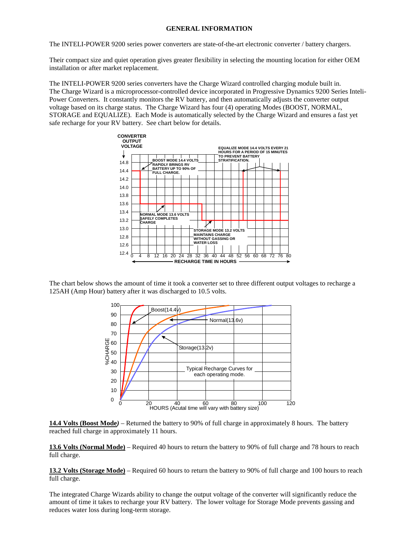#### **GENERAL INFORMATION**

The INTELI-POWER 9200 series power converters are state-of-the-art electronic converter / battery chargers.

Their compact size and quiet operation gives greater flexibility in selecting the mounting location for either OEM installation or after market replacement.

The INTELI-POWER 9200 series converters have the Charge Wizard controlled charging module built in. The Charge Wizard is a microprocessor-controlled device incorporated in Progressive Dynamics 9200 Series Inteli-Power Converters. It constantly monitors the RV battery, and then automatically adjusts the converter output voltage based on its charge status. The Charge Wizard has four (4) operating Modes (BOOST, NORMAL, STORAGE and EQUALIZE). Each Mode is automatically selected by the Charge Wizard and ensures a fast yet safe recharge for your RV battery. See chart below for details.



The chart below shows the amount of time it took a converter set to three different output voltages to recharge a 125AH (Amp Hour) battery after it was discharged to 10.5 volts.



**14.4 Volts (Boost Mode***)* – Returned the battery to 90% of full charge in approximately 8 hours. The battery reached full charge in approximately 11 hours.

**13.6 Volts (Normal Mode)** – Required 40 hours to return the battery to 90% of full charge and 78 hours to reach full charge.

**13.2 Volts (Storage Mode)** – Required 60 hours to return the battery to 90% of full charge and 100 hours to reach full charge.

The integrated Charge Wizards ability to change the output voltage of the converter will significantly reduce the amount of time it takes to recharge your RV battery. The lower voltage for Storage Mode prevents gassing and reduces water loss during long-term storage.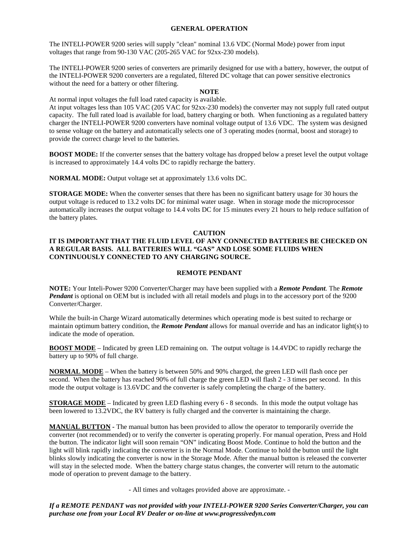#### **GENERAL OPERATION**

The INTELI-POWER 9200 series will supply "clean" nominal 13.6 VDC (Normal Mode) power from input voltages that range from 90-130 VAC (205-265 VAC for 92xx-230 models).

The INTELI-POWER 9200 series of converters are primarily designed for use with a battery, however, the output of the INTELI-POWER 9200 converters are a regulated, filtered DC voltage that can power sensitive electronics without the need for a battery or other filtering.

# **NOTE**

At normal input voltages the full load rated capacity is available.

At input voltages less than 105 VAC (205 VAC for 92xx-230 models) the converter may not supply full rated output capacity. The full rated load is available for load, battery charging or both. When functioning as a regulated battery charger the INTELI-POWER 9200 converters have nominal voltage output of 13.6 VDC. The system was designed to sense voltage on the battery and automatically selects one of 3 operating modes (normal, boost and storage) to provide the correct charge level to the batteries.

**BOOST MODE:** If the converter senses that the battery voltage has dropped below a preset level the output voltage is increased to approximately 14.4 volts DC to rapidly recharge the battery.

**NORMAL MODE:** Output voltage set at approximately 13.6 volts DC.

**STORAGE MODE:** When the converter senses that there has been no significant battery usage for 30 hours the output voltage is reduced to 13.2 volts DC for minimal water usage. When in storage mode the microprocessor automatically increases the output voltage to 14.4 volts DC for 15 minutes every 21 hours to help reduce sulfation of the battery plates.

#### **CAUTION**

## **IT IS IMPORTANT THAT THE FLUID LEVEL OF ANY CONNECTED BATTERIES BE CHECKED ON A REGULAR BASIS. ALL BATTERIES WILL "GAS" AND LOSE SOME FLUIDS WHEN CONTINUOUSLY CONNECTED TO ANY CHARGING SOURCE.**

#### **REMOTE PENDANT**

**NOTE:** Your Inteli-Power 9200 Converter/Charger may have been supplied with a *Remote Pendant.* The *Remote Pendant* is optional on OEM but is included with all retail models and plugs in to the accessory port of the 9200 Converter/Charger.

While the built-in Charge Wizard automatically determines which operating mode is best suited to recharge or maintain optimum battery condition, the *Remote Pendant* allows for manual override and has an indicator light(s) to indicate the mode of operation.

**BOOST MODE** – Indicated by green LED remaining on.The output voltage is 14.4VDC to rapidly recharge the battery up to 90% of full charge.

**NORMAL MODE** – When the battery is between 50% and 90% charged, the green LED will flash once per second. When the battery has reached 90% of full charge the green LED will flash 2 - 3 times per second. In this mode the output voltage is 13.6VDC and the converter is safely completing the charge of the battery.

**STORAGE MODE** – Indicated by green LED flashing every 6 - 8 seconds. In this mode the output voltage has been lowered to 13.2VDC, the RV battery is fully charged and the converter is maintaining the charge.

**MANUAL BUTTON -** The manual button has been provided to allow the operator to temporarily override the converter (not recommended) or to verify the converter is operating properly. For manual operation, Press and Hold the button. The indicator light will soon remain "ON" indicating Boost Mode. Continue to hold the button and the light will blink rapidly indicating the converter is in the Normal Mode. Continue to hold the button until the light blinks slowly indicating the converter is now in the Storage Mode. After the manual button is released the converter will stay in the selected mode. When the battery charge status changes, the converter will return to the automatic mode of operation to prevent damage to the battery.

- All times and voltages provided above are approximate. -

*If a REMOTE PENDANT was not provided with your INTELI-POWER 9200 Series Converter/Charger, you can purchase one from your Local RV Dealer or on-line at www.progressivedyn.com*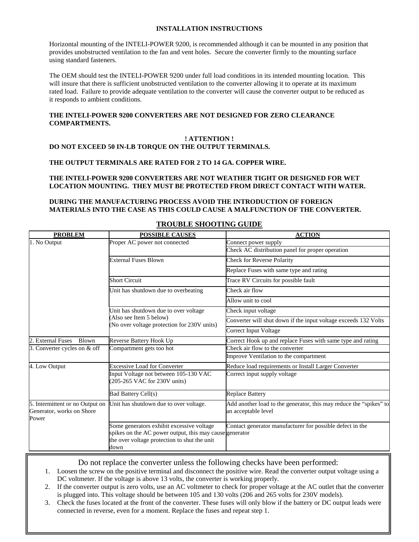#### **INSTALLATION INSTRUCTIONS**

Horizontal mounting of the INTELI-POWER 9200, is recommended although it can be mounted in any position that provides unobstructed ventilation to the fan and vent holes. Secure the converter firmly to the mounting surface using standard fasteners.

The OEM should test the INTELI-POWER 9200 under full load conditions in its intended mounting location. This will insure that there is sufficient unobstructed ventilation to the converter allowing it to operate at its maximum rated load. Failure to provide adequate ventilation to the converter will cause the converter output to be reduced as it responds to ambient conditions.

#### **THE INTELI-POWER 9200 CONVERTERS ARE NOT DESIGNED FOR ZERO CLEARANCE COMPARTMENTS.**

#### **! ATTENTION ! DO NOT EXCEED 50 IN-LB TORQUE ON THE OUTPUT TERMINALS.**

#### **THE OUTPUT TERMINALS ARE RATED FOR 2 TO 14 GA. COPPER WIRE.**

#### **THE INTELI-POWER 9200 CONVERTERS ARE NOT WEATHER TIGHT OR DESIGNED FOR WET LOCATION MOUNTING. THEY MUST BE PROTECTED FROM DIRECT CONTACT WITH WATER.**

## **DURING THE MANUFACTURING PROCESS AVOID THE INTRODUCTION OF FOREIGN MATERIALS INTO THE CASE AS THIS COULD CAUSE A MALFUNCTION OF THE CONVERTER.**

| <b>PROBLEM</b>                                                        | <b>POSSIBLE CAUSES</b>                                                                                                                                       | <b>ACTION</b>                                                                             |
|-----------------------------------------------------------------------|--------------------------------------------------------------------------------------------------------------------------------------------------------------|-------------------------------------------------------------------------------------------|
| 1. No Output                                                          | Proper AC power not connected                                                                                                                                | Connect power supply                                                                      |
|                                                                       |                                                                                                                                                              | Check AC distribution panel for proper operation                                          |
|                                                                       | <b>External Fuses Blown</b>                                                                                                                                  | Check for Reverse Polarity                                                                |
|                                                                       |                                                                                                                                                              | Replace Fuses with same type and rating                                                   |
|                                                                       | <b>Short Circuit</b>                                                                                                                                         | Trace RV Circuits for possible fault                                                      |
|                                                                       | Unit has shutdown due to overheating                                                                                                                         | Check air flow                                                                            |
|                                                                       |                                                                                                                                                              | Allow unit to cool                                                                        |
|                                                                       | Unit has shutdown due to over voltage<br>(Also see Item 5 below)<br>(No over voltage protection for 230V units)                                              | Check input voltage                                                                       |
|                                                                       |                                                                                                                                                              | Converter will shut down if the input voltage exceeds 132 Volts                           |
|                                                                       |                                                                                                                                                              | Correct Input Voltage                                                                     |
| <b>External Fuses</b><br>Blown                                        | Reverse Battery Hook Up                                                                                                                                      | Correct Hook up and replace Fuses with same type and rating                               |
| 3. Converter cycles on & off                                          | Compartment gets too hot                                                                                                                                     | Check air flow to the converter                                                           |
|                                                                       |                                                                                                                                                              | Improve Ventilation to the compartment                                                    |
| 4. Low Output                                                         | <b>Excessive Load for Converter</b>                                                                                                                          | Reduce load requirements or Install Larger Converter                                      |
|                                                                       | Input Voltage not between 105-130 VAC<br>(205-265 VAC for 230V units)                                                                                        | Correct input supply voltage                                                              |
|                                                                       | <b>Bad Battery Cell(s)</b>                                                                                                                                   | <b>Replace Battery</b>                                                                    |
| 5. Intermittent or no Output on<br>Generator, works on Shore<br>Power | Unit has shutdown due to over voltage.                                                                                                                       | Add another load to the generator, this may reduce the "spikes" to<br>an acceptable level |
|                                                                       | Some generators exhibit excessive voltage<br>spikes on the AC power output, this may cause generator<br>the over voltage protection to shut the unit<br>down | Contact generator manufacturer for possible defect in the                                 |

# **TROUBLE SHOOTING GUIDE**

Do not replace the converter unless the following checks have been performed:

- 1. Loosen the screw on the positive terminal and disconnect the positive wire. Read the converter output voltage using a DC voltmeter. If the voltage is above 13 volts, the converter is working properly.
- 2. If the converter output is zero volts, use an AC voltmeter to check for proper voltage at the AC outlet that the converter is plugged into. This voltage should be between 105 and 130 volts (206 and 265 volts for 230V models).
- 3. Check the fuses located at the front of the converter. These fuses will only blow if the battery or DC output leads were connected in reverse, even for a moment. Replace the fuses and repeat step 1.